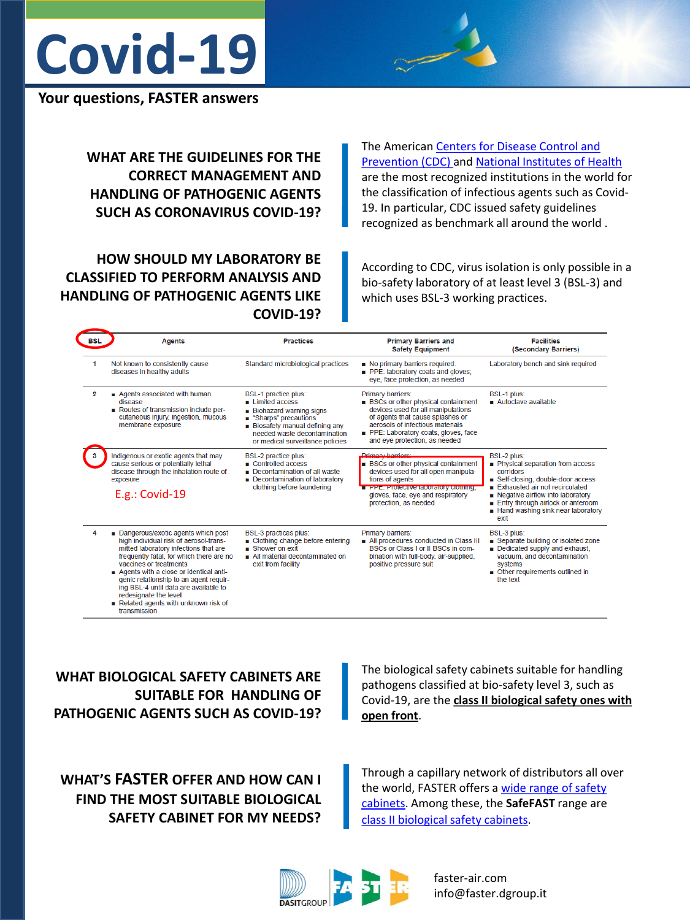

## **Your questions, FASTER answers**

**WHAT ARE THE GUIDELINES FOR THE CORRECT MANAGEMENT AND HANDLING OF PATHOGENIC AGENTS SUCH AS CORONAVIRUS COVID-19?**

The American [Centers for Disease Control and](https://www.cdc.gov/coronavirus/2019-ncov/lab/lab-biosafety-guidelines.html)  [Prevention \(CDC\) a](https://www.cdc.gov/coronavirus/2019-ncov/lab/lab-biosafety-guidelines.html)nd [National Institutes of Health](https://www.nih.gov/)  are the most recognized institutions in the world for the classification of infectious agents such as Covid-19. In particular, CDC issued safety guidelines recognized as benchmark all around the world .

## **HOW SHOULD MY LABORATORY BE CLASSIFIED TO PERFORM ANALYSIS AND HANDLING OF PATHOGENIC AGENTS LIKE COVID-19?**

According to CDC, virus isolation is only possible in a bio-safety laboratory of at least level 3 (BSL-3) and which uses BSL-3 working practices.

| BSL            | <b>Agents</b>                                                                                                                                                                                                                                                                                                                                                                                            | <b>Practices</b>                                                                                                                                                                                               | <b>Primary Barriers and</b><br><b>Safety Equipment</b>                                                                                                                                                                                               | <b>Facilities</b><br>(Secondary Barriers)                                                                                                                                                                                                                      |
|----------------|----------------------------------------------------------------------------------------------------------------------------------------------------------------------------------------------------------------------------------------------------------------------------------------------------------------------------------------------------------------------------------------------------------|----------------------------------------------------------------------------------------------------------------------------------------------------------------------------------------------------------------|------------------------------------------------------------------------------------------------------------------------------------------------------------------------------------------------------------------------------------------------------|----------------------------------------------------------------------------------------------------------------------------------------------------------------------------------------------------------------------------------------------------------------|
| 1              | Not known to consistently cause<br>diseases in healthy adults                                                                                                                                                                                                                                                                                                                                            | Standard microbiological practices                                                                                                                                                                             | No primary barriers required.<br>PPE: laboratory coats and gloves:<br>eye, face protection, as needed                                                                                                                                                | Laboratory bench and sink required                                                                                                                                                                                                                             |
| $\overline{2}$ | Agents associated with human<br>disease<br>Routes of transmission include per-<br>cutaneous injury, ingestion, mucous<br>membrane exposure                                                                                                                                                                                                                                                               | <b>BSL-1 practice plus:</b><br>limited access<br><b>Biohazard warning signs</b><br>■ "Sharps" precautions<br>Biosafety manual defining any<br>needed waste decontamination<br>or medical surveillance policies | Primary barriers:<br><b>BSCs or other physical containment</b><br>devices used for all manipulations<br>of agents that cause splashes or<br>aerosols of infectious materials<br>PPE: Laboratory coats, gloves, face<br>and eye protection, as needed | <b>BSL-1 plus:</b><br>Autoclave available                                                                                                                                                                                                                      |
|                | Indigenous or exotic agents that may<br>cause serious or potentially lethal<br>disease through the inhalation route of<br>exposure<br>$E.g.:$ Covid-19                                                                                                                                                                                                                                                   | <b>BSL-2 practice plus:</b><br>Controlled access<br>Decontamination of all waste<br>Decontamination of laboratory<br>clothing before laundering                                                                | Driman / harriare:<br><b>BSCs or other physical containment</b><br>devices used for all open manipula-<br>tions of agents<br><b>THEFIC. PROTECTIVE RIDORATORY CIONINING.</b><br>gloves, face, eye and respiratory<br>protection, as needed           | <b>BSL-2 plus:</b><br>Physical separation from access<br>corridors<br>Self-closing, double-door access<br>Exhausted air not recirculated<br>Negative airflow into laboratory<br>Entry through airlock or anteroom<br>Hand washing sink near laboratory<br>exit |
| Δ              | Dangerous/exotic agents which post<br>high individual risk of aerosol-trans-<br>mitted laboratory infections that are<br>frequently fatal, for which there are no<br>vaccines or treatments<br>Agents with a close or identical anti-<br>genic relationship to an agent requir-<br>ing BSL-4 until data are available to<br>redesignate the level<br>Related agents with unknown risk of<br>transmission | <b>BSL-3 practices plus:</b><br>■ Clothing change before entering<br>$\blacksquare$ Shower on exit<br>All material decontaminated on<br>exit from facility                                                     | Primary barriers:<br>All procedures conducted in Class III<br>BSCs or Class I or II BSCs in com-<br>bination with full-body, air-supplied,<br>positive pressure suit                                                                                 | <b>BSL-3 plus:</b><br>Separate building or isolated zone<br>Dedicated supply and exhaust,<br>vacuum, and decontamination<br>systems<br>■ Other requirements outlined in<br>the text                                                                            |

**WHAT BIOLOGICAL SAFETY CABINETS ARE SUITABLE FOR HANDLING OF PATHOGENIC AGENTS SUCH AS COVID-19?** The biological safety cabinets suitable for handling pathogens classified at bio-safety level 3, such as Covid-19, are the **class II biological safety ones with open front**.

**WHAT'S FASTER OFFER AND HOW CAN I FIND THE MOST SUITABLE BIOLOGICAL SAFETY CABINET FOR MY NEEDS?** Through a capillary network of distributors all over the world, FASTER offers a [wide range of safety](https://faster-air.com/en/)  [cabinets](https://faster-air.com/en/). Among these, the **SafeFAST** range are [class II](https://faster-air.com/en/products/microbiological-safety-cabinets) [biological safety cabinets](https://faster-air.com/en/products/microbiological-safety-cabinets).